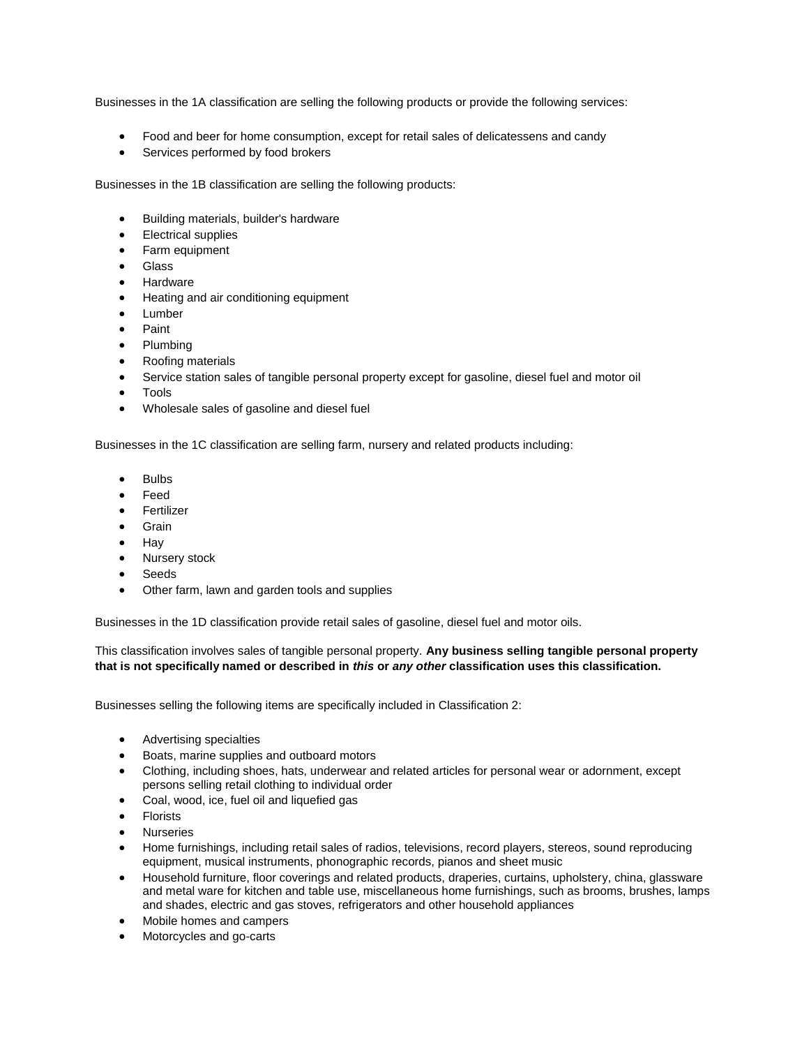Businesses in the 1A classification are selling the following products or provide the following services:

- Food and beer for home consumption, except for retail sales of delicatessens and candy
- **•** Services performed by food brokers

Businesses in the 1B classification are selling the following products:

- Building materials, builder's hardware
- Electrical supplies
- Farm equipment
- Glass
- Hardware
- Heating and air conditioning equipment
- Lumber
- Paint
- Plumbing
- Roofing materials
- Service station sales of tangible personal property except for gasoline, diesel fuel and motor oil
- Tools
- Wholesale sales of gasoline and diesel fuel

Businesses in the 1C classification are selling farm, nursery and related products including:

- Bulbs
- Feed
- **•** Fertilizer
- Grain
- $\bullet$  Hav
- Nursery stock
- Seeds
- Other farm, lawn and garden tools and supplies

Businesses in the 1D classification provide retail sales of gasoline, diesel fuel and motor oils.

This classification involves sales of tangible personal property. **Any business selling tangible personal property that is not specifically named or described in** *this* **or** *any other* **classification uses this classification.**

Businesses selling the following items are specifically included in Classification 2:

- Advertising specialties
- Boats, marine supplies and outboard motors
- Clothing, including shoes, hats, underwear and related articles for personal wear or adornment, except persons selling retail clothing to individual order
- Coal, wood, ice, fuel oil and liquefied gas
- Florists
- Nurseries
- Home furnishings, including retail sales of radios, televisions, record players, stereos, sound reproducing equipment, musical instruments, phonographic records, pianos and sheet music
- Household furniture, floor coverings and related products, draperies, curtains, upholstery, china, glassware and metal ware for kitchen and table use, miscellaneous home furnishings, such as brooms, brushes, lamps and shades, electric and gas stoves, refrigerators and other household appliances
- Mobile homes and campers
- Motorcycles and go-carts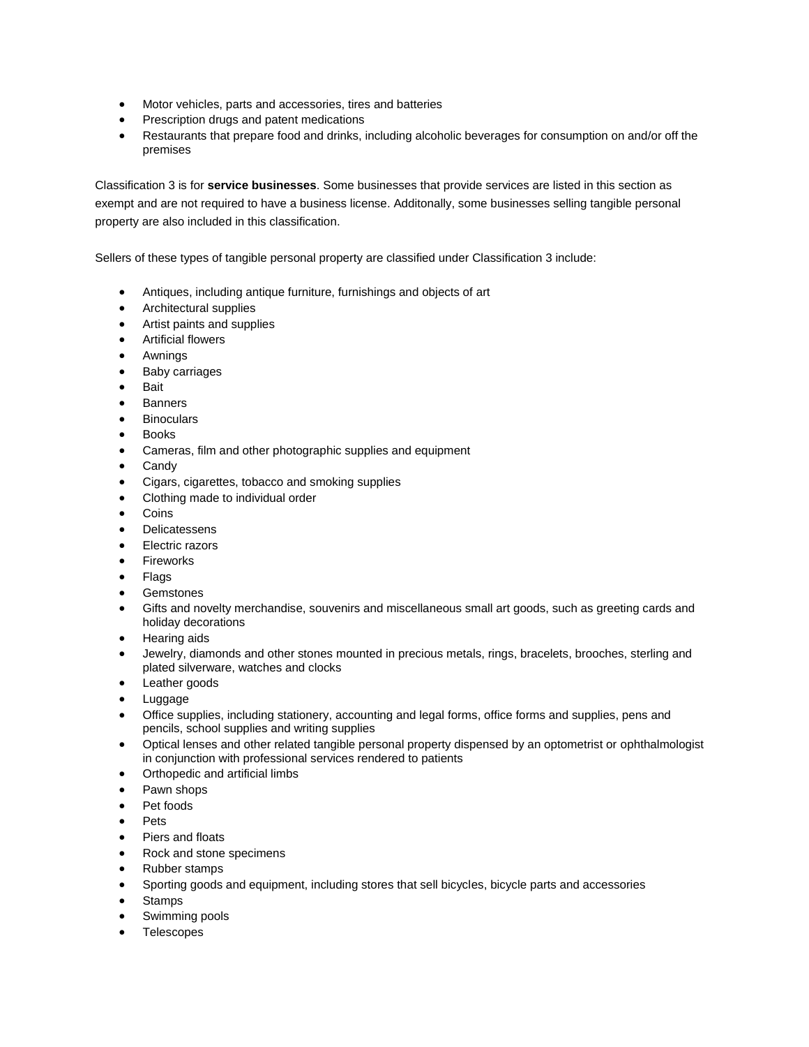- Motor vehicles, parts and accessories, tires and batteries
- Prescription drugs and patent medications
- Restaurants that prepare food and drinks, including alcoholic beverages for consumption on and/or off the premises

Classification 3 is for **service businesses**. Some businesses that provide services are listed in this section as exempt and are not required to have a business license. Additonally, some businesses selling tangible personal property are also included in this classification.

Sellers of these types of tangible personal property are classified under Classification 3 include:

- Antiques, including antique furniture, furnishings and objects of art
- Architectural supplies
- Artist paints and supplies
- Artificial flowers
- Awnings
- Baby carriages
- Bait
- Banners
- Binoculars
- **Books**
- Cameras, film and other photographic supplies and equipment
- Candy
- Cigars, cigarettes, tobacco and smoking supplies
- Clothing made to individual order
- Coins
- Delicatessens
- Electric razors
- **•** Fireworks
- Flags
- Gemstones
- Gifts and novelty merchandise, souvenirs and miscellaneous small art goods, such as greeting cards and holiday decorations
- Hearing aids
- Jewelry, diamonds and other stones mounted in precious metals, rings, bracelets, brooches, sterling and plated silverware, watches and clocks
- Leather goods
- Luggage
- Office supplies, including stationery, accounting and legal forms, office forms and supplies, pens and pencils, school supplies and writing supplies
- Optical lenses and other related tangible personal property dispensed by an optometrist or ophthalmologist in conjunction with professional services rendered to patients
- Orthopedic and artificial limbs
- Pawn shops
- Pet foods
- Pets
- Piers and floats
- Rock and stone specimens
- Rubber stamps
- Sporting goods and equipment, including stores that sell bicycles, bicycle parts and accessories
- **Stamps**
- Swimming pools
- **Telescopes**